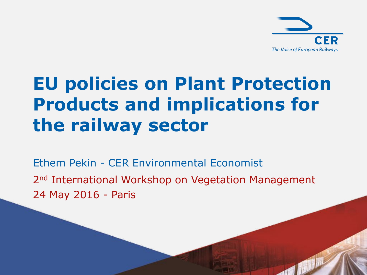

### **EU policies on Plant Protection Products and implications for the railway sector**

2<sup>nd</sup> International Workshop on Vegetation Management 24 May 2016 - Paris Ethem Pekin - CER Environmental Economist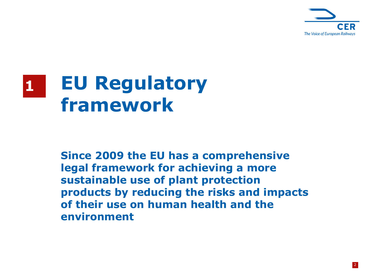

#### **EU Regulatory framework 1**

**Since 2009 the EU has a comprehensive legal framework for achieving a more sustainable use of plant protection products by reducing the risks and impacts of their use on human health and the environment**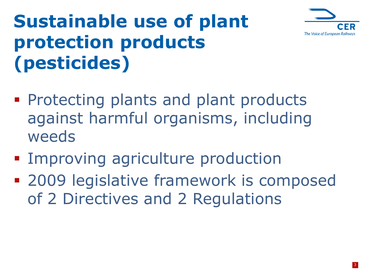

## **Sustainable use of plant protection products (pesticides)**

- **Protecting plants and plant products** against harmful organisms, including weeds
- **Improving agriculture production**
- **2009 legislative framework is composed** of 2 Directives and 2 Regulations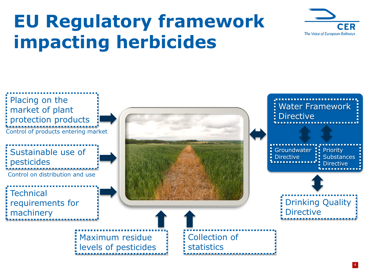### **EU Regulatory framework impacting herbicides**



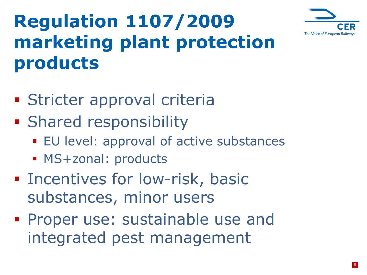

## **Regulation 1107/2009 marketing plant protection products**

- **Stricter approval criteria**
- **Shared responsibility** 
	- **EU** level: approval of active substances
	- **MS+zonal: products**
- **Example 1** Incentives for low-risk, basic substances, minor users
- **Proper use: sustainable use and** integrated pest management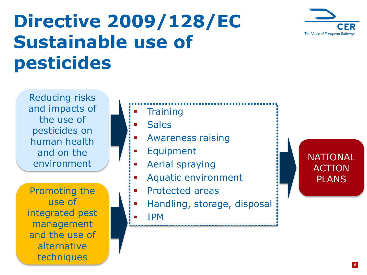

#### **Directive 2009/128/EC Sustainable use of pesticides**

Reducing risks and impacts of the use of pesticides on human health and on the environment

Promoting the use of integrated pest management and the use of alternative techniques

**Training** 

**Sales** 

- Awareness raising
- Equipment
- Aerial spraying
- Aquatic environment
- Protected areas
- Handling, storage, disposal
- IPM

#### NATIONAL ACTION PLANS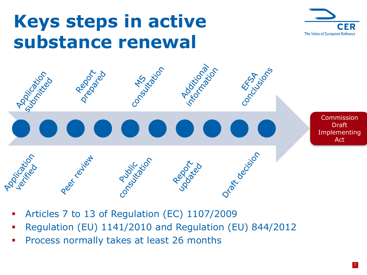#### **Keys steps in active substance renewal**





- Articles 7 to 13 of Regulation (EC) 1107/2009
- Regulation (EU) 1141/2010 and Regulation (EU) 844/2012
- **Process normally takes at least 26 months**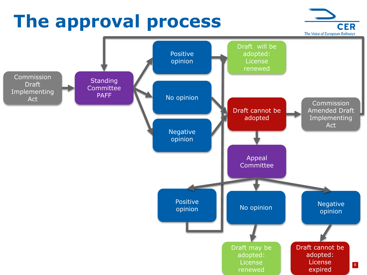## **The approval process**



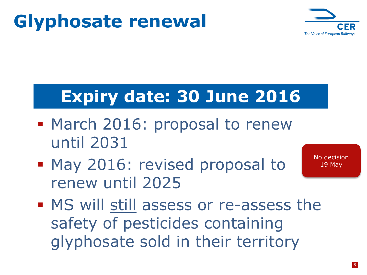## **Glyphosate renewal**



#### **Expiry date: 30 June 2016**

- March 2016: proposal to renew until 2031
- **May 2016: revised proposal to** renew until 2025

No decision 19 May

**MS will still assess or re-assess the** safety of pesticides containing glyphosate sold in their territory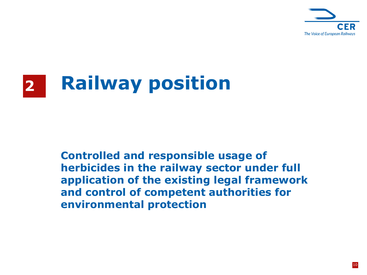

# **2 Railway position**

**Controlled and responsible usage of herbicides in the railway sector under full application of the existing legal framework and control of competent authorities for environmental protection**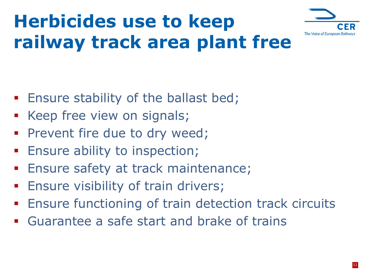

## **Herbicides use to keep railway track area plant free**

- **Ensure stability of the ballast bed;**
- **EXECT** Keep free view on signals;
- **Prevent fire due to dry weed;**
- **Ensure ability to inspection;**
- Ensure safety at track maintenance;
- **Ensure visibility of train drivers;**
- **Ensure functioning of train detection track circuits**
- Guarantee a safe start and brake of trains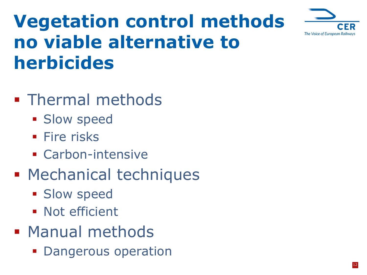

### **Vegetation control methods no viable alternative to herbicides**

- **Thermal methods** 
	- **Slow speed**
	- **Fire risks**
	- **Carbon-intensive**
- **Mechanical techniques** 
	- **Slow speed**
	- **Not efficient**
- **Manual methods** 
	- **Dangerous operation**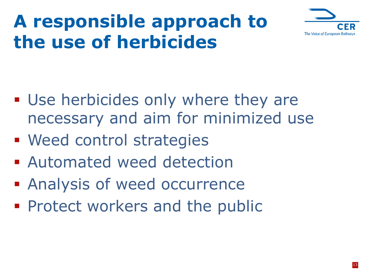## **A responsible approach to the use of herbicides**



- Use herbicides only where they are necessary and aim for minimized use
- **Need control strategies**
- **E** Automated weed detection
- **Analysis of weed occurrence**
- **Protect workers and the public**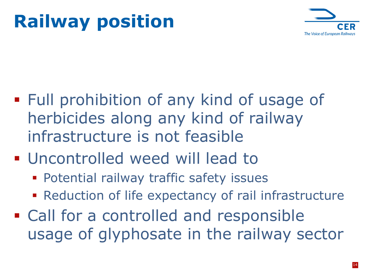## **Railway position**



- Full prohibition of any kind of usage of herbicides along any kind of railway infrastructure is not feasible
- **Uncontrolled weed will lead to** 
	- **Potential railway traffic safety issues**
	- **Reduction of life expectancy of rail infrastructure**
- **Exall for a controlled and responsible** usage of glyphosate in the railway sector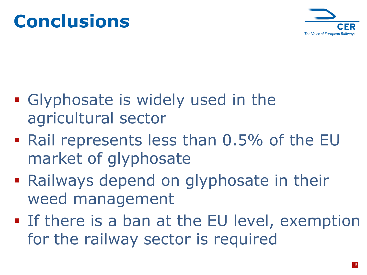

- **Glyphosate is widely used in the** agricultural sector
- Rail represents less than 0.5% of the EU market of glyphosate
- **Railways depend on glyphosate in their** weed management
- **If there is a ban at the EU level, exemption** for the railway sector is required